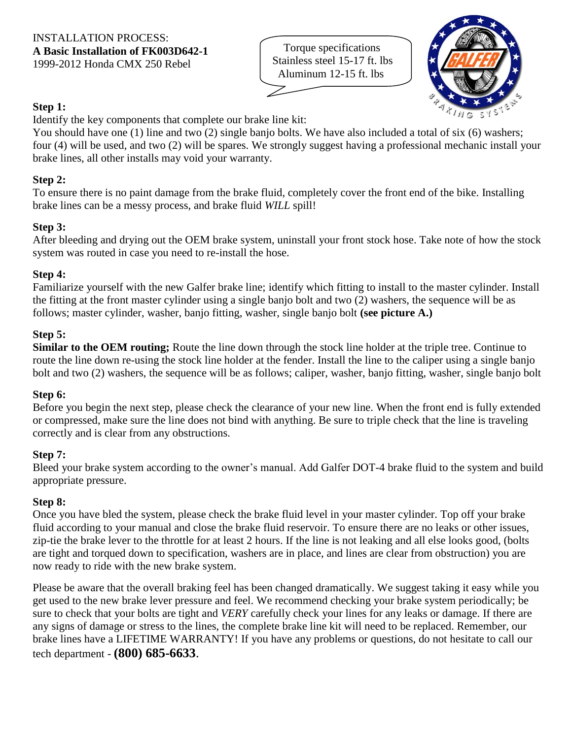Torque specifications Stainless steel 15-17 ft. lbs Aluminum 12-15 ft. lbs



# **Step 1:**

Identify the key components that complete our brake line kit:

You should have one (1) line and two (2) single banjo bolts. We have also included a total of six (6) washers; four (4) will be used, and two (2) will be spares. We strongly suggest having a professional mechanic install your brake lines, all other installs may void your warranty.

# **Step 2:**

To ensure there is no paint damage from the brake fluid, completely cover the front end of the bike. Installing brake lines can be a messy process, and brake fluid *WILL* spill!

# **Step 3:**

After bleeding and drying out the OEM brake system, uninstall your front stock hose. Take note of how the stock system was routed in case you need to re-install the hose.

### **Step 4:**

Familiarize yourself with the new Galfer brake line; identify which fitting to install to the master cylinder. Install the fitting at the front master cylinder using a single banjo bolt and two (2) washers, the sequence will be as follows; master cylinder, washer, banjo fitting, washer, single banjo bolt **(see picture A.)**

### **Step 5:**

**Similar to the OEM routing;** Route the line down through the stock line holder at the triple tree. Continue to route the line down re-using the stock line holder at the fender. Install the line to the caliper using a single banjo bolt and two (2) washers, the sequence will be as follows; caliper, washer, banjo fitting, washer, single banjo bolt

### **Step 6:**

Before you begin the next step, please check the clearance of your new line. When the front end is fully extended or compressed, make sure the line does not bind with anything. Be sure to triple check that the line is traveling correctly and is clear from any obstructions.

### **Step 7:**

Bleed your brake system according to the owner's manual. Add Galfer DOT-4 brake fluid to the system and build appropriate pressure.

### **Step 8:**

Once you have bled the system, please check the brake fluid level in your master cylinder. Top off your brake fluid according to your manual and close the brake fluid reservoir. To ensure there are no leaks or other issues, zip-tie the brake lever to the throttle for at least 2 hours. If the line is not leaking and all else looks good, (bolts are tight and torqued down to specification, washers are in place, and lines are clear from obstruction) you are now ready to ride with the new brake system.

Please be aware that the overall braking feel has been changed dramatically. We suggest taking it easy while you get used to the new brake lever pressure and feel. We recommend checking your brake system periodically; be sure to check that your bolts are tight and *VERY* carefully check your lines for any leaks or damage. If there are any signs of damage or stress to the lines, the complete brake line kit will need to be replaced. Remember, our brake lines have a LIFETIME WARRANTY! If you have any problems or questions, do not hesitate to call our tech department - **(800) 685-6633**.